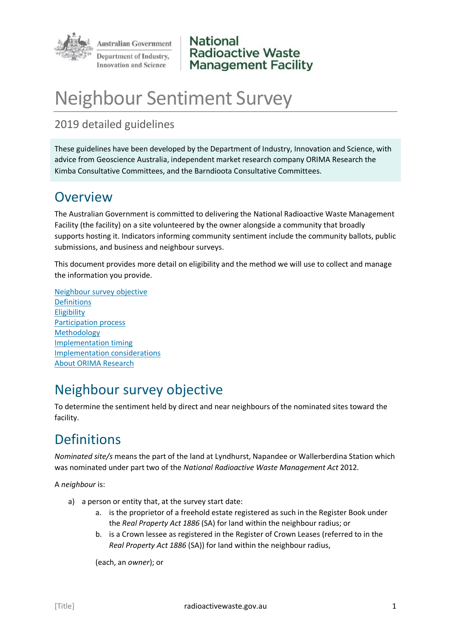

**National Radioactive Waste Management Facility** 

# Neighbour Sentiment Survey

#### 2019 detailed guidelines

These guidelines have been developed by the Department of Industry, Innovation and Science, with advice from Geoscience Australia, independent market research company ORIMA Research the Kimba Consultative Committees, and the Barndioota Consultative Committees.

### **Overview**

The Australian Government is committed to delivering the National Radioactive Waste Management Facility (the facility) on a site volunteered by the owner alongside a community that broadly supports hosting it. Indicators informing community sentiment include the community ballots, public submissions, and business and neighbour surveys.

This document provides more detail on eligibility and the method we will use to collect and manage the information you provide.

[Neighbour survey objective](#page-0-0) [Definitions](#page-0-1) **[Eligibility](#page-1-0)** [Participation process](#page-2-0) [Methodology](#page-2-1) Implementation timing [Implementation considerations](#page-3-0) [About ORIMA Research](#page-4-0)

## <span id="page-0-0"></span>Neighbour survey objective

To determine the sentiment held by direct and near neighbours of the nominated sites toward the facility.

# <span id="page-0-1"></span>**Definitions**

*Nominated site/s* means the part of the land at Lyndhurst, Napandee or Wallerberdina Station which was nominated under part two of the *National Radioactive Waste Management Act* 2012.

A *neighbour* is:

- a) a person or entity that, at the survey start date:
	- a. is the proprietor of a freehold estate registered as such in the Register Book under the *Real Property Act 1886* (SA) for land within the neighbour radius; or
	- b. is a Crown lessee as registered in the Register of Crown Leases (referred to in the *Real Property Act 1886* (SA)) for land within the neighbour radius,

(each, an *owner*); or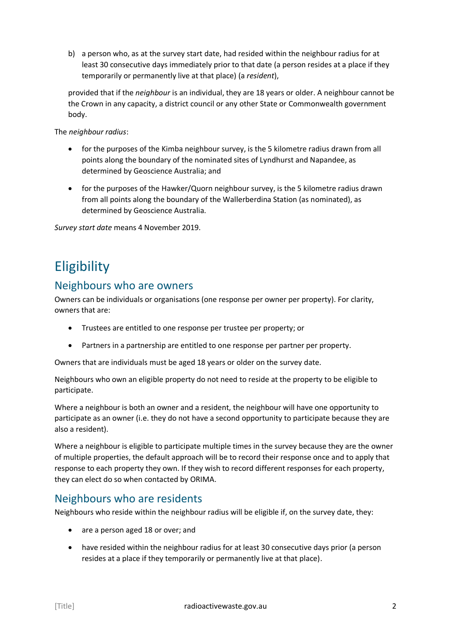b) a person who, as at the survey start date, had resided within the neighbour radius for at least 30 consecutive days immediately prior to that date (a person resides at a place if they temporarily or permanently live at that place) (a *resident*),

provided that if the *neighbour* is an individual, they are 18 years or older. A neighbour cannot be the Crown in any capacity, a district council or any other State or Commonwealth government body.

The *neighbour radius*:

- for the purposes of the Kimba neighbour survey, is the 5 kilometre radius drawn from all points along the boundary of the nominated sites of Lyndhurst and Napandee, as determined by Geoscience Australia; and
- for the purposes of the Hawker/Quorn neighbour survey, is the 5 kilometre radius drawn from all points along the boundary of the Wallerberdina Station (as nominated), as determined by Geoscience Australia.

*Survey start date* means 4 November 2019.

## <span id="page-1-0"></span>**Eligibility**

#### Neighbours who are owners

Owners can be individuals or organisations (one response per owner per property). For clarity, owners that are:

- Trustees are entitled to one response per trustee per property; or
- Partners in a partnership are entitled to one response per partner per property.

Owners that are individuals must be aged 18 years or older on the survey date.

Neighbours who own an eligible property do not need to reside at the property to be eligible to participate.

Where a neighbour is both an owner and a resident, the neighbour will have one opportunity to participate as an owner (i.e. they do not have a second opportunity to participate because they are also a resident).

Where a neighbour is eligible to participate multiple times in the survey because they are the owner of multiple properties, the default approach will be to record their response once and to apply that response to each property they own. If they wish to record different responses for each property, they can elect do so when contacted by ORIMA.

#### Neighbours who are residents

Neighbours who reside within the neighbour radius will be eligible if, on the survey date, they:

- are a person aged 18 or over; and
- have resided within the neighbour radius for at least 30 consecutive days prior (a person resides at a place if they temporarily or permanently live at that place).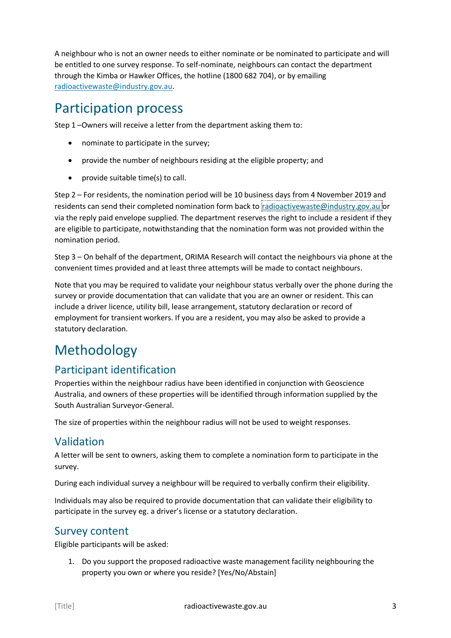A neighbour who is not an owner needs to either nominate or be nominated to participate and will be entitled to one survey response. To self-nominate, neighbours can contact the department through the Kimba or Hawker Offices, the hotline (1800 682 704), or by emailing [radioactivewaste@industry.gov.au.](mailto:radioactivewaste@industry.gov.au)

### <span id="page-2-0"></span>Participation process

Step 1 –Owners will receive a letter from the department asking them to:

- nominate to participate in the survey;
- provide the number of neighbours residing at the eligible property; and
- provide suitable time(s) to call.

Step 2 – For residents, the nomination period will be 10 business days from 4 November 2019 and residents can send their completed nomination form back to [radioactivewaste@industry.gov.au](mailto:radioactivewaste@industry.gov.au) or via the reply paid envelope supplied. The department reserves the right to include a resident if they are eligible to participate, notwithstanding that the nomination form was not provided within the nomination period.

Step 3 – On behalf of the department, ORIMA Research will contact the neighbours via phone at the convenient times provided and at least three attempts will be made to contact neighbours.

Note that you may be required to validate your neighbour status verbally over the phone during the survey or provide documentation that can validate that you are an owner or resident. This can include a driver licence, utility bill, lease arrangement, statutory declaration or record of employment for transient workers. If you are a resident, you may also be asked to provide a statutory declaration.

# <span id="page-2-1"></span>Methodology

#### Participant identification

Properties within the neighbour radius have been identified in conjunction with Geoscience Australia, and owners of these properties will be identified through information supplied by the South Australian Surveyor-General.

The size of properties within the neighbour radius will not be used to weight responses.

#### Validation

A letter will be sent to owners, asking them to complete a nomination form to participate in the survey.

During each individual survey a neighbour will be required to verbally confirm their eligibility.

Individuals may also be required to provide documentation that can validate their eligibility to participate in the survey eg. a driver's license or a statutory declaration.

#### Survey content

Eligible participants will be asked:

1. Do you support the proposed radioactive waste management facility neighbouring the property you own or where you reside? [Yes/No/Abstain]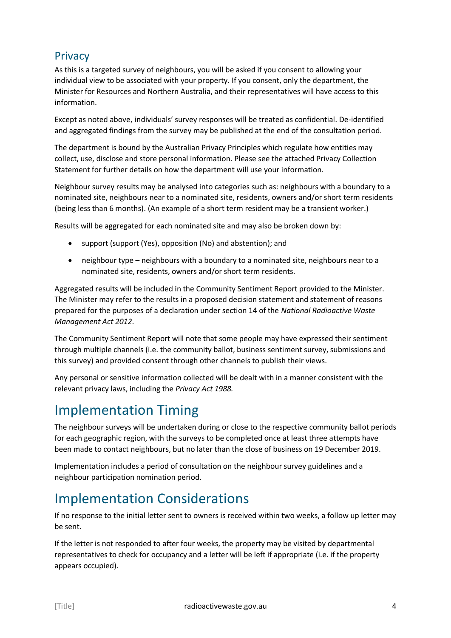#### **Privacy**

As this is a targeted survey of neighbours, you will be asked if you consent to allowing your individual view to be associated with your property. If you consent, only the department, the Minister for Resources and Northern Australia, and their representatives will have access to this information.

Except as noted above, individuals' survey responses will be treated as confidential. De-identified and aggregated findings from the survey may be published at the end of the consultation period.

The department is bound by the Australian Privacy Principles which regulate how entities may collect, use, disclose and store personal information. Please see the attached Privacy Collection Statement for further details on how the department will use your information.

Neighbour survey results may be analysed into categories such as: neighbours with a boundary to a nominated site, neighbours near to a nominated site, residents, owners and/or short term residents (being less than 6 months). (An example of a short term resident may be a transient worker.)

Results will be aggregated for each nominated site and may also be broken down by:

- support (support (Yes), opposition (No) and abstention); and
- neighbour type neighbours with a boundary to a nominated site, neighbours near to a nominated site, residents, owners and/or short term residents.

Aggregated results will be included in the Community Sentiment Report provided to the Minister. The Minister may refer to the results in a proposed decision statement and statement of reasons prepared for the purposes of a declaration under section 14 of the *National Radioactive Waste Management Act 2012*.

The Community Sentiment Report will note that some people may have expressed their sentiment through multiple channels (i.e. the community ballot, business sentiment survey, submissions and this survey) and provided consent through other channels to publish their views.

Any personal or sensitive information collected will be dealt with in a manner consistent with the relevant privacy laws, including the *Privacy Act 1988.* 

### Implementation Timing

The neighbour surveys will be undertaken during or close to the respective community ballot periods for each geographic region, with the surveys to be completed once at least three attempts have been made to contact neighbours, but no later than the close of business on 19 December 2019.

Implementation includes a period of consultation on the neighbour survey guidelines and a neighbour participation nomination period.

# <span id="page-3-0"></span>Implementation Considerations

If no response to the initial letter sent to owners is received within two weeks, a follow up letter may be sent.

If the letter is not responded to after four weeks, the property may be visited by departmental representatives to check for occupancy and a letter will be left if appropriate (i.e. if the property appears occupied).